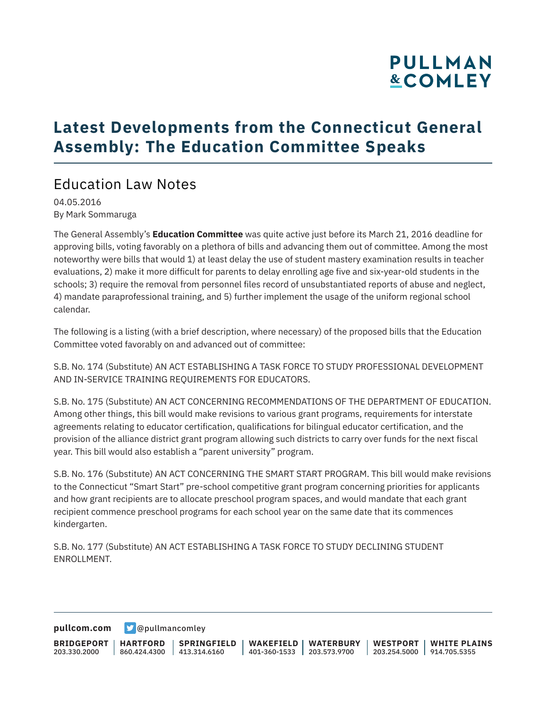### **Latest Developments from the Connecticut General Assembly: The Education Committee Speaks**

### Education Law Notes

04.05.2016 By Mark Sommaruga

The General Assembly's **Education Committee** was quite active just before its March 21, 2016 deadline for approving bills, voting favorably on a plethora of bills and advancing them out of committee. Among the most noteworthy were bills that would 1) at least delay the use of student mastery examination results in teacher evaluations, 2) make it more difficult for parents to delay enrolling age five and six-year-old students in the schools; 3) require the removal from personnel files record of unsubstantiated reports of abuse and neglect, 4) mandate paraprofessional training, and 5) further implement the usage of the uniform regional school calendar.

The following is a listing (with a brief description, where necessary) of the proposed bills that the Education Committee voted favorably on and advanced out of committee:

S.B. No. 174 (Substitute) AN ACT ESTABLISHING A TASK FORCE TO STUDY PROFESSIONAL DEVELOPMENT AND IN-SERVICE TRAINING REQUIREMENTS FOR EDUCATORS.

S.B. No. 175 (Substitute) AN ACT CONCERNING RECOMMENDATIONS OF THE DEPARTMENT OF EDUCATION. Among other things, this bill would make revisions to various grant programs, requirements for interstate agreements relating to educator certification, qualifications for bilingual educator certification, and the provision of the alliance district grant program allowing such districts to carry over funds for the next fiscal year. This bill would also establish a "parent university" program.

S.B. No. 176 (Substitute) AN ACT CONCERNING THE SMART START PROGRAM. This bill would make revisions to the Connecticut "Smart Start" pre-school competitive grant program concerning priorities for applicants and how grant recipients are to allocate preschool program spaces, and would mandate that each grant recipient commence preschool programs for each school year on the same date that its commences kindergarten.

S.B. No. 177 (Substitute) AN ACT ESTABLISHING A TASK FORCE TO STUDY DECLINING STUDENT ENROLLMENT.

**[pullcom.com](https://www.pullcom.com) g** [@pullmancomley](https://twitter.com/PullmanComley)

**BRIDGEPORT HARTFORD** 203.330.2000 860.424.4300 413.314.6160 **SPRINGFIELD WAKEFIELD WATERBURY** 401-360-1533 203.573.9700 **WESTPORT WHITE PLAINS** 203.254.5000 914.705.5355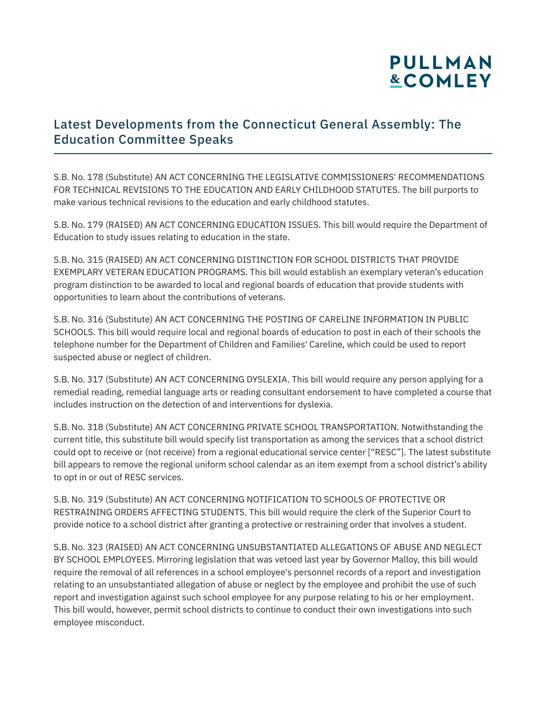### Latest Developments from the Connecticut General Assembly: The Education Committee Speaks

S.B. No. 178 (Substitute) AN ACT CONCERNING THE LEGISLATIVE COMMISSIONERS' RECOMMENDATIONS FOR TECHNICAL REVISIONS TO THE EDUCATION AND EARLY CHILDHOOD STATUTES. The bill purports to make various technical revisions to the education and early childhood statutes.

S.B. No. 179 (RAISED) AN ACT CONCERNING EDUCATION ISSUES. This bill would require the Department of Education to study issues relating to education in the state.

S.B. No. 315 (RAISED) AN ACT CONCERNING DISTINCTION FOR SCHOOL DISTRICTS THAT PROVIDE EXEMPLARY VETERAN EDUCATION PROGRAMS. This bill would establish an exemplary veteran's education program distinction to be awarded to local and regional boards of education that provide students with opportunities to learn about the contributions of veterans.

S.B. No. 316 (Substitute) AN ACT CONCERNING THE POSTING OF CARELINE INFORMATION IN PUBLIC SCHOOLS. This bill would require local and regional boards of education to post in each of their schools the telephone number for the Department of Children and Families' Careline, which could be used to report suspected abuse or neglect of children.

S.B. No. 317 (Substitute) AN ACT CONCERNING DYSLEXIA. This bill would require any person applying for a remedial reading, remedial language arts or reading consultant endorsement to have completed a course that includes instruction on the detection of and interventions for dyslexia.

S.B. No. 318 (Substitute) AN ACT CONCERNING PRIVATE SCHOOL TRANSPORTATION. Notwithstanding the current title, this substitute bill would specify list transportation as among the services that a school district could opt to receive or (not receive) from a regional educational service center ["RESC"]. The latest substitute bill appears to remove the regional uniform school calendar as an item exempt from a school district's ability to opt in or out of RESC services.

S.B. No. 319 (Substitute) AN ACT CONCERNING NOTIFICATION TO SCHOOLS OF PROTECTIVE OR RESTRAINING ORDERS AFFECTING STUDENTS. This bill would require the clerk of the Superior Court to provide notice to a school district after granting a protective or restraining order that involves a student.

S.B. No. 323 (RAISED) AN ACT CONCERNING UNSUBSTANTIATED ALLEGATIONS OF ABUSE AND NEGLECT BY SCHOOL EMPLOYEES. Mirroring legislation that was vetoed last year by Governor Malloy, this bill would require the removal of all references in a school employee's personnel records of a report and investigation relating to an unsubstantiated allegation of abuse or neglect by the employee and prohibit the use of such report and investigation against such school employee for any purpose relating to his or her employment. This bill would, however, permit school districts to continue to conduct their own investigations into such employee misconduct.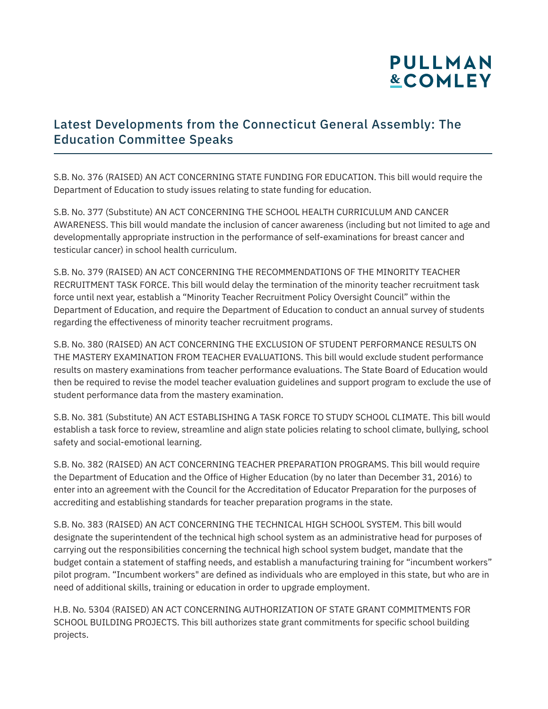### Latest Developments from the Connecticut General Assembly: The Education Committee Speaks

S.B. No. 376 (RAISED) AN ACT CONCERNING STATE FUNDING FOR EDUCATION. This bill would require the Department of Education to study issues relating to state funding for education.

S.B. No. 377 (Substitute) AN ACT CONCERNING THE SCHOOL HEALTH CURRICULUM AND CANCER AWARENESS. This bill would mandate the inclusion of cancer awareness (including but not limited to age and developmentally appropriate instruction in the performance of self-examinations for breast cancer and testicular cancer) in school health curriculum.

S.B. No. 379 (RAISED) AN ACT CONCERNING THE RECOMMENDATIONS OF THE MINORITY TEACHER RECRUITMENT TASK FORCE. This bill would delay the termination of the minority teacher recruitment task force until next year, establish a "Minority Teacher Recruitment Policy Oversight Council" within the Department of Education, and require the Department of Education to conduct an annual survey of students regarding the effectiveness of minority teacher recruitment programs.

S.B. No. 380 (RAISED) AN ACT CONCERNING THE EXCLUSION OF STUDENT PERFORMANCE RESULTS ON THE MASTERY EXAMINATION FROM TEACHER EVALUATIONS. This bill would exclude student performance results on mastery examinations from teacher performance evaluations. The State Board of Education would then be required to revise the model teacher evaluation guidelines and support program to exclude the use of student performance data from the mastery examination.

S.B. No. 381 (Substitute) AN ACT ESTABLISHING A TASK FORCE TO STUDY SCHOOL CLIMATE. This bill would establish a task force to review, streamline and align state policies relating to school climate, bullying, school safety and social-emotional learning.

S.B. No. 382 (RAISED) AN ACT CONCERNING TEACHER PREPARATION PROGRAMS. This bill would require the Department of Education and the Office of Higher Education (by no later than December 31, 2016) to enter into an agreement with the Council for the Accreditation of Educator Preparation for the purposes of accrediting and establishing standards for teacher preparation programs in the state.

S.B. No. 383 (RAISED) AN ACT CONCERNING THE TECHNICAL HIGH SCHOOL SYSTEM. This bill would designate the superintendent of the technical high school system as an administrative head for purposes of carrying out the responsibilities concerning the technical high school system budget, mandate that the budget contain a statement of staffing needs, and establish a manufacturing training for "incumbent workers" pilot program. "Incumbent workers" are defined as individuals who are employed in this state, but who are in need of additional skills, training or education in order to upgrade employment.

H.B. No. 5304 (RAISED) AN ACT CONCERNING AUTHORIZATION OF STATE GRANT COMMITMENTS FOR SCHOOL BUILDING PROJECTS. This bill authorizes state grant commitments for specific school building projects.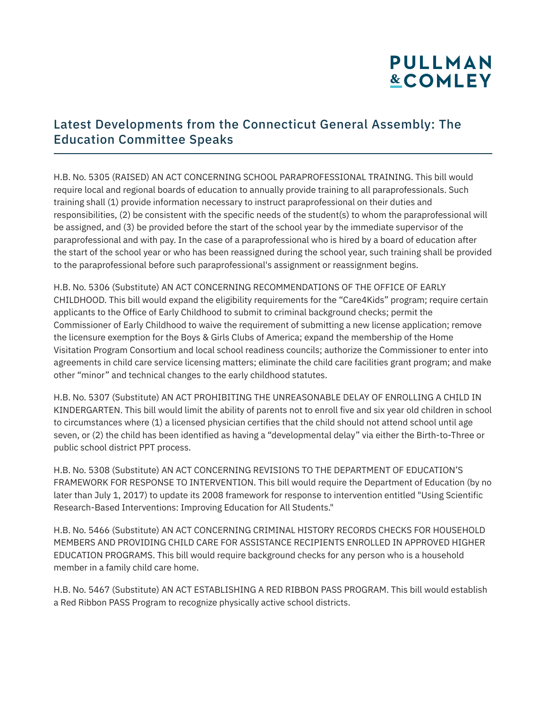### Latest Developments from the Connecticut General Assembly: The Education Committee Speaks

H.B. No. 5305 (RAISED) AN ACT CONCERNING SCHOOL PARAPROFESSIONAL TRAINING. This bill would require local and regional boards of education to annually provide training to all paraprofessionals. Such training shall (1) provide information necessary to instruct paraprofessional on their duties and responsibilities, (2) be consistent with the specific needs of the student(s) to whom the paraprofessional will be assigned, and (3) be provided before the start of the school year by the immediate supervisor of the paraprofessional and with pay. In the case of a paraprofessional who is hired by a board of education after the start of the school year or who has been reassigned during the school year, such training shall be provided to the paraprofessional before such paraprofessional's assignment or reassignment begins.

H.B. No. 5306 (Substitute) AN ACT CONCERNING RECOMMENDATIONS OF THE OFFICE OF EARLY CHILDHOOD. This bill would expand the eligibility requirements for the "Care4Kids" program; require certain applicants to the Office of Early Childhood to submit to criminal background checks; permit the Commissioner of Early Childhood to waive the requirement of submitting a new license application; remove the licensure exemption for the Boys & Girls Clubs of America; expand the membership of the Home Visitation Program Consortium and local school readiness councils; authorize the Commissioner to enter into agreements in child care service licensing matters; eliminate the child care facilities grant program; and make other "minor" and technical changes to the early childhood statutes.

H.B. No. 5307 (Substitute) AN ACT PROHIBITING THE UNREASONABLE DELAY OF ENROLLING A CHILD IN KINDERGARTEN. This bill would limit the ability of parents not to enroll five and six year old children in school to circumstances where (1) a licensed physician certifies that the child should not attend school until age seven, or (2) the child has been identified as having a "developmental delay" via either the Birth-to-Three or public school district PPT process.

H.B. No. 5308 (Substitute) AN ACT CONCERNING REVISIONS TO THE DEPARTMENT OF EDUCATION'S FRAMEWORK FOR RESPONSE TO INTERVENTION. This bill would require the Department of Education (by no later than July 1, 2017) to update its 2008 framework for response to intervention entitled "Using Scientific Research-Based Interventions: Improving Education for All Students."

H.B. No. 5466 (Substitute) AN ACT CONCERNING CRIMINAL HISTORY RECORDS CHECKS FOR HOUSEHOLD MEMBERS AND PROVIDING CHILD CARE FOR ASSISTANCE RECIPIENTS ENROLLED IN APPROVED HIGHER EDUCATION PROGRAMS. This bill would require background checks for any person who is a household member in a family child care home.

H.B. No. 5467 (Substitute) AN ACT ESTABLISHING A RED RIBBON PASS PROGRAM. This bill would establish a Red Ribbon PASS Program to recognize physically active school districts.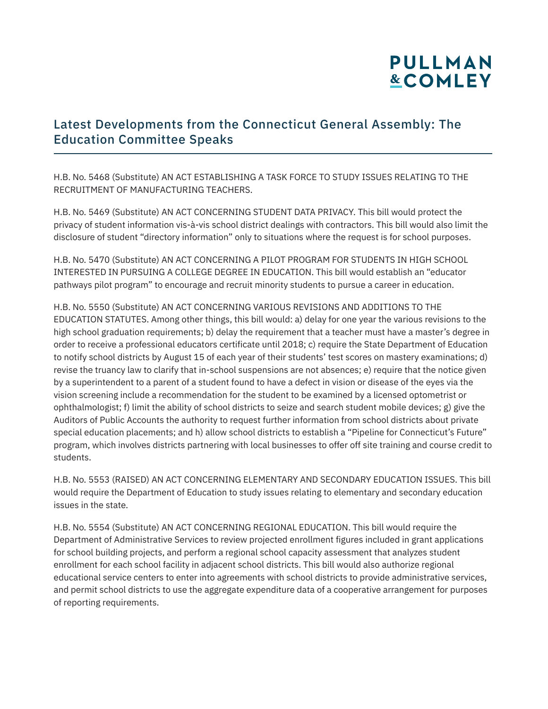### Latest Developments from the Connecticut General Assembly: The Education Committee Speaks

H.B. No. 5468 (Substitute) AN ACT ESTABLISHING A TASK FORCE TO STUDY ISSUES RELATING TO THE RECRUITMENT OF MANUFACTURING TEACHERS.

H.B. No. 5469 (Substitute) AN ACT CONCERNING STUDENT DATA PRIVACY. This bill would protect the privacy of student information vis-à-vis school district dealings with contractors. This bill would also limit the disclosure of student "directory information" only to situations where the request is for school purposes.

H.B. No. 5470 (Substitute) AN ACT CONCERNING A PILOT PROGRAM FOR STUDENTS IN HIGH SCHOOL INTERESTED IN PURSUING A COLLEGE DEGREE IN EDUCATION. This bill would establish an "educator pathways pilot program" to encourage and recruit minority students to pursue a career in education.

H.B. No. 5550 (Substitute) AN ACT CONCERNING VARIOUS REVISIONS AND ADDITIONS TO THE EDUCATION STATUTES. Among other things, this bill would: a) delay for one year the various revisions to the high school graduation requirements; b) delay the requirement that a teacher must have a master's degree in order to receive a professional educators certificate until 2018; c) require the State Department of Education to notify school districts by August 15 of each year of their students' test scores on mastery examinations; d) revise the truancy law to clarify that in-school suspensions are not absences; e) require that the notice given by a superintendent to a parent of a student found to have a defect in vision or disease of the eyes via the vision screening include a recommendation for the student to be examined by a licensed optometrist or ophthalmologist; f) limit the ability of school districts to seize and search student mobile devices; g) give the Auditors of Public Accounts the authority to request further information from school districts about private special education placements; and h) allow school districts to establish a "Pipeline for Connecticut's Future" program, which involves districts partnering with local businesses to offer off site training and course credit to students.

H.B. No. 5553 (RAISED) AN ACT CONCERNING ELEMENTARY AND SECONDARY EDUCATION ISSUES. This bill would require the Department of Education to study issues relating to elementary and secondary education issues in the state.

H.B. No. 5554 (Substitute) AN ACT CONCERNING REGIONAL EDUCATION. This bill would require the Department of Administrative Services to review projected enrollment figures included in grant applications for school building projects, and perform a regional school capacity assessment that analyzes student enrollment for each school facility in adjacent school districts. This bill would also authorize regional educational service centers to enter into agreements with school districts to provide administrative services, and permit school districts to use the aggregate expenditure data of a cooperative arrangement for purposes of reporting requirements.